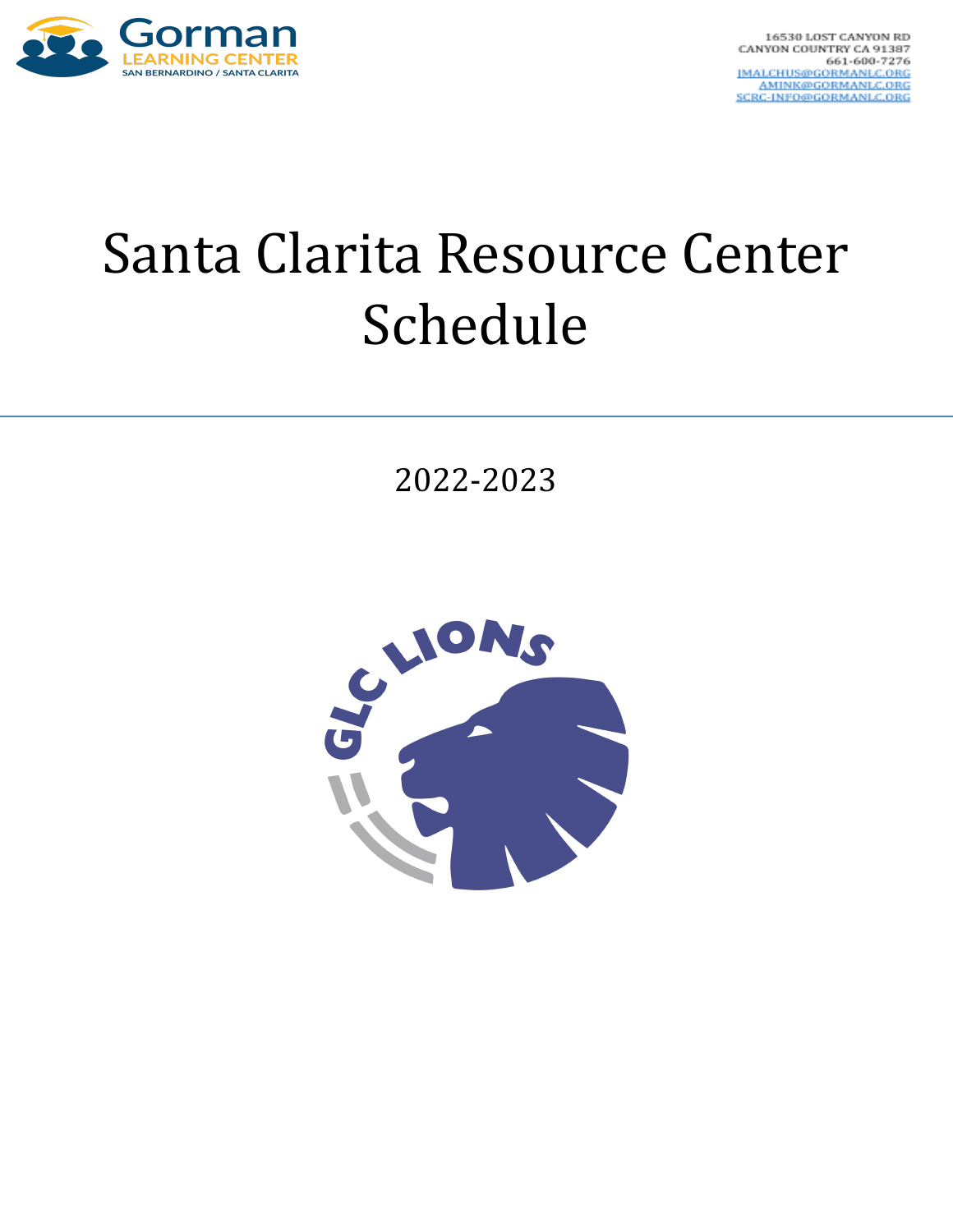

## Santa Clarita Resource Center Schedule

2022-2023

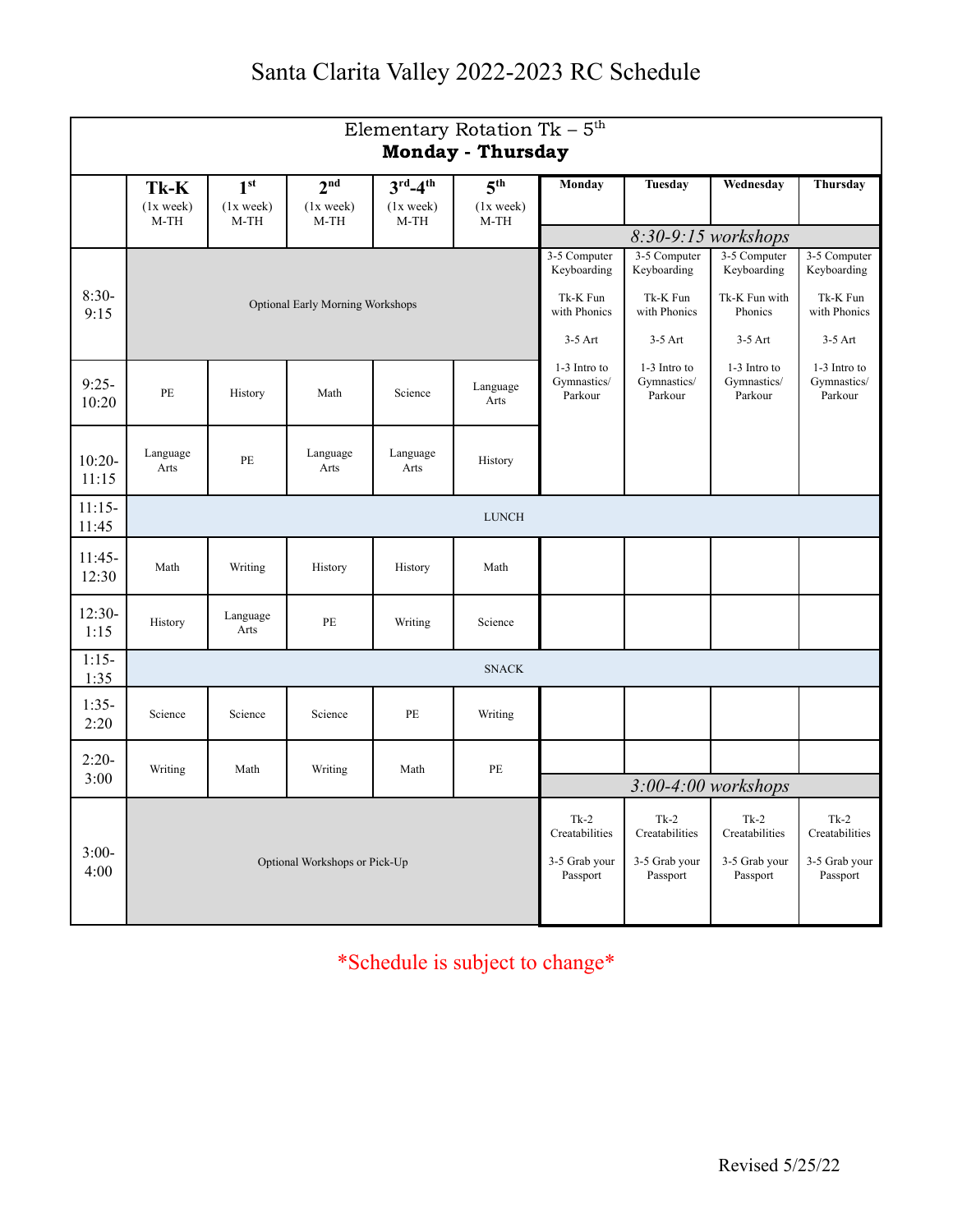## Santa Clarita Valley 2022-2023 RC Schedule

| Elementary Rotation Tk - $5^{\text{th}}$<br><b>Monday - Thursday</b> |                                         |                                        |                                        |                                                          |                                            |                                        |                                        |                                        |                                        |
|----------------------------------------------------------------------|-----------------------------------------|----------------------------------------|----------------------------------------|----------------------------------------------------------|--------------------------------------------|----------------------------------------|----------------------------------------|----------------------------------------|----------------------------------------|
|                                                                      | Tk-K<br>$(1x$ week)<br>$M-TH$           | 1 <sup>st</sup><br>$(1x$ week)<br>M-TH | 2 <sup>nd</sup><br>$(1x$ week)<br>M-TH | $3^{\text{rd}} - 4^{\text{th}}$<br>$(1x$ week)<br>$M-TH$ | $\overline{5^{th}}$<br>$(1x$ week)<br>M-TH | Monday                                 | Tuesday                                | Wednesday                              | Thursday                               |
|                                                                      |                                         |                                        |                                        |                                                          | 8:30-9:15 workshops                        |                                        |                                        |                                        |                                        |
| $8:30-$                                                              |                                         |                                        |                                        |                                                          |                                            | 3-5 Computer<br>Keyboarding            | 3-5 Computer<br>Keyboarding            | 3-5 Computer<br>Keyboarding            | 3-5 Computer<br>Keyboarding            |
| 9:15                                                                 | <b>Optional Early Morning Workshops</b> |                                        |                                        |                                                          |                                            | Tk-K Fun<br>with Phonics               | Tk-K Fun<br>with Phonics               | Tk-K Fun with<br>Phonics               | Tk-K Fun<br>with Phonics               |
|                                                                      |                                         |                                        |                                        |                                                          |                                            | $3-5$ Art                              | $3-5$ Art                              | $3-5$ Art                              | $3-5$ Art                              |
| $9:25-$<br>10:20                                                     | PE                                      | History                                | Math                                   | Science                                                  | Language<br>Arts                           | 1-3 Intro to<br>Gymnastics/<br>Parkour | 1-3 Intro to<br>Gymnastics/<br>Parkour | 1-3 Intro to<br>Gymnastics/<br>Parkour | 1-3 Intro to<br>Gymnastics/<br>Parkour |
| $10:20-$<br>11:15                                                    | Language<br>Arts                        | PE                                     | Language<br>Arts                       | Language<br>Arts                                         | History                                    |                                        |                                        |                                        |                                        |
| $11:15-$<br>11:45                                                    | <b>LUNCH</b>                            |                                        |                                        |                                                          |                                            |                                        |                                        |                                        |                                        |
| $11:45-$<br>12:30                                                    | Math                                    | Writing                                | History                                | History                                                  | Math                                       |                                        |                                        |                                        |                                        |
| $12:30-$<br>1:15                                                     | History                                 | Language<br>Arts                       | PE                                     | Writing                                                  | Science                                    |                                        |                                        |                                        |                                        |
| $1:15-$<br>1:35                                                      | <b>SNACK</b>                            |                                        |                                        |                                                          |                                            |                                        |                                        |                                        |                                        |
| $1:35-$<br>2:20                                                      | Science                                 | Science                                | Science                                | PE                                                       | Writing                                    |                                        |                                        |                                        |                                        |
| $2:20-$<br>3:00                                                      | Writing                                 | Math                                   | Writing                                | Math                                                     | PE                                         |                                        |                                        |                                        |                                        |
|                                                                      |                                         |                                        |                                        |                                                          |                                            |                                        | $3:00-4:00$ workshops                  |                                        |                                        |
| $3:00-$                                                              |                                         |                                        |                                        |                                                          |                                            | $Tk-2$<br>Creatabilities               | $Tk-2$<br>Creatabilities               | $Tk-2$<br>Creatabilities               | $Tk-2$<br>Creatabilities               |
| 4:00                                                                 | Optional Workshops or Pick-Up           |                                        |                                        |                                                          | 3-5 Grab your<br>Passport                  | 3-5 Grab your<br>Passport              | 3-5 Grab your<br>Passport              | 3-5 Grab your<br>Passport              |                                        |

\*Schedule is subject to change\*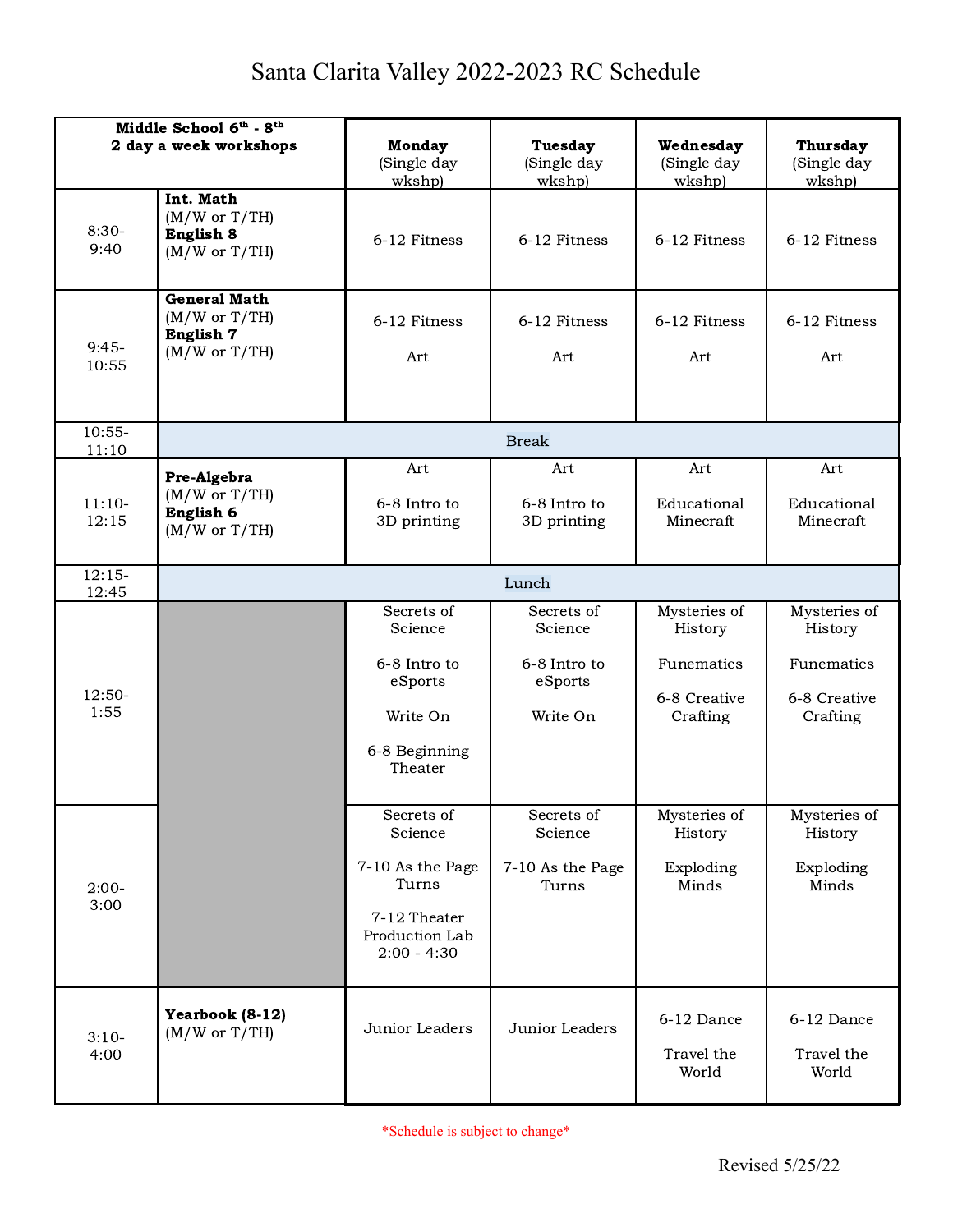## Santa Clarita Valley 2022-2023 RC Schedule

| Middle School 6th - 8th<br>2 day a week workshops |                                                                    | <b>Monday</b><br>(Single day                                                                          | <b>Tuesday</b><br>(Single day                                | Wednesday<br>(Single day                                          | <b>Thursday</b><br>(Single day                                    |  |  |
|---------------------------------------------------|--------------------------------------------------------------------|-------------------------------------------------------------------------------------------------------|--------------------------------------------------------------|-------------------------------------------------------------------|-------------------------------------------------------------------|--|--|
| $8:30-$<br>9:40                                   | Int. Math<br>(M/W or T/TH)<br>English 8<br>(M/W or T/TH)           | wkshp)<br>6-12 Fitness                                                                                | wkshp)<br>6-12 Fitness                                       | wkshp)<br>6-12 Fitness                                            | wkshp)<br>6-12 Fitness                                            |  |  |
| $9:45-$<br>10:55                                  | <b>General Math</b><br>(M/W or T/TH)<br>English 7<br>(M/W or T/TH) | 6-12 Fitness<br>Art                                                                                   | 6-12 Fitness<br>Art                                          | 6-12 Fitness<br>Art                                               | 6-12 Fitness<br>Art                                               |  |  |
| $10:55-$<br>11:10                                 | <b>Break</b>                                                       |                                                                                                       |                                                              |                                                                   |                                                                   |  |  |
| $11:10-$<br>12:15                                 | Pre-Algebra<br>(M/W or T/TH)<br>English 6<br>(M/W or T/TH)         | Art<br>6-8 Intro to<br>3D printing                                                                    | Art<br>6-8 Intro to<br>3D printing                           | Art<br>Educational<br>Minecraft                                   | Art<br>Educational<br>Minecraft                                   |  |  |
| $12:15-$<br>12:45                                 | Lunch                                                              |                                                                                                       |                                                              |                                                                   |                                                                   |  |  |
| 12:50-<br>1:55                                    |                                                                    | Secrets of<br>Science<br>6-8 Intro to<br>eSports<br>Write On<br>6-8 Beginning<br>Theater              | Secrets of<br>Science<br>6-8 Intro to<br>eSports<br>Write On | Mysteries of<br>History<br>Funematics<br>6-8 Creative<br>Crafting | Mysteries of<br>History<br>Funematics<br>6-8 Creative<br>Crafting |  |  |
| $2:00-$<br>3:00                                   |                                                                    | Secrets of<br>Science<br>7-10 As the Page<br>Turns<br>7-12 Theater<br>Production Lab<br>$2:00 - 4:30$ | Secrets of<br>Science<br>7-10 As the Page<br>Turns           | Mysteries of<br>History<br>Exploding<br>Minds                     | Mysteries of<br>History<br>Exploding<br>Minds                     |  |  |
| $3:10-$<br>4:00                                   | Yearbook (8-12)<br>(M/W or T/TH)                                   | Junior Leaders                                                                                        | Junior Leaders                                               | 6-12 Dance<br>Travel the<br>World                                 | 6-12 Dance<br>Travel the<br>World                                 |  |  |